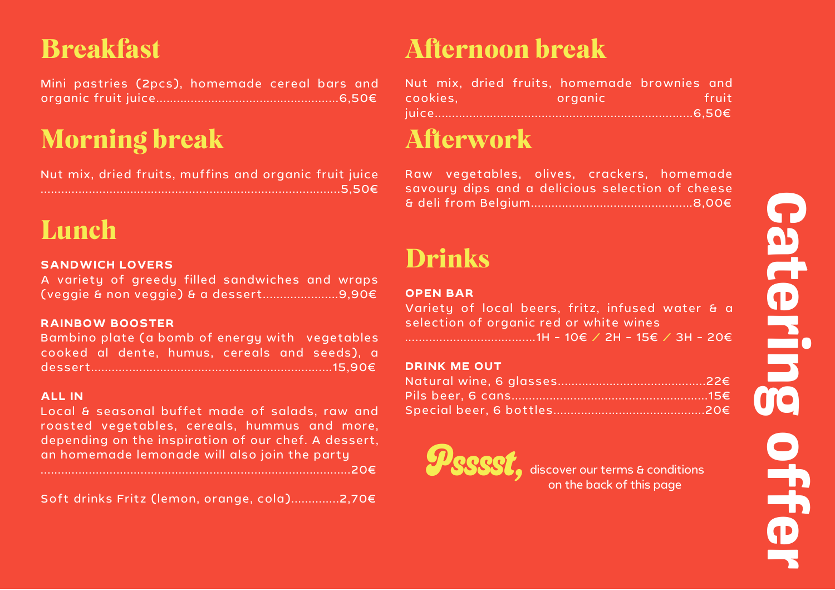### C a **et D** r i 5 gga o  $\blacksquare$  $\blacksquare$ **D** r

## Breakfast

Mini pastries (2pcs), homemade cereal bars and organic fruit juice.....................................................6,50€

# Morning break

Nut mix, dried fruits, muffins and organic fruit juice .......................................................................................5,50€

## Lunch

### **SANDWICH LOVERS**

A variety of greedy filled sandwiches and wraps (veggie & non veggie) & a dessert......................9,90€

#### **RAINBOW BOOSTER**

Bambino plate (a bomb of energy with vegetables cooked al dente, humus, cereals and seeds), a dessert......................................................................15,90€

#### **ALL IN**

Local & seasonal buffet made of salads, raw and roasted vegetables, cereals, hummus and more, depending on the inspiration of our chef. A dessert, an homemade lemonade will also join the party

..........................................................................................20€

Soft drinks Fritz (lemon, orange, cola)..............2,70€

## Afternoon break

|          |  | Nut mix, dried fruits, homemade brownies and |         |
|----------|--|----------------------------------------------|---------|
| cookies. |  | organic                                      | -fruit- |
|          |  |                                              |         |

### Afterwork

Raw vegetables, olives, crackers, homemade savoury dips and a delicious selection of cheese & deli from Belgium...............................................8,00€

### Drinks

#### **OPEN BAR**

|  |  | Variety of local beers, fritz, infused water & a |  |  |
|--|--|--------------------------------------------------|--|--|
|  |  | selection of organic red or white wines          |  |  |
|  |  | ………………………………1H-1O€ / 2H-15€ / 3H-2O€             |  |  |

#### **DRINK ME OUT**



**PSSSSSE**, discover our terms & conditions on the back of this page